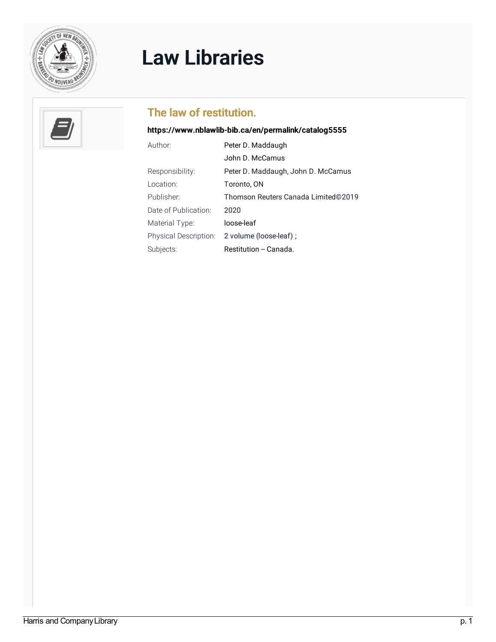

## Law [Libraries](https://www.nblawlib-bib.ca/en)



## The law of restitution.

## <https://www.nblawlib-bib.ca/en/permalink/catalog5555>

| Author:                      | Peter D. Maddaugh                   |
|------------------------------|-------------------------------------|
|                              | John D. McCamus                     |
| Responsibility:              | Peter D. Maddaugh, John D. McCamus  |
| Location:                    | Toronto, ON                         |
| Publisher:                   | Thomson Reuters Canada Limited©2019 |
| Date of Publication:         | 2020                                |
| Material Type:               | loose-leaf                          |
| <b>Physical Description:</b> | 2 volume (loose-leaf);              |
| Subjects:                    | Restitution -- Canada.              |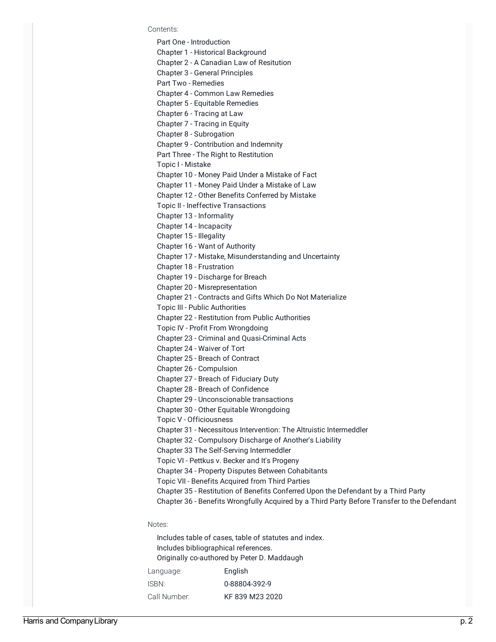Contents:

Part One - Introduction Chapter 1 - Historical Background Chapter 2 - A Canadian Law of Resitution Chapter 3 - General Principles Part Two - Remedies Chapter 4 - Common Law Remedies Chapter 5 - Equitable Remedies Chapter 6 - Tracing at Law Chapter 7 - Tracing in Equity Chapter 8 - Subrogation Chapter 9 - Contribution and Indemnity Part Three - The Right to Restitution Topic I - Mistake Chapter 10 - Money Paid Under a Mistake of Fact Chapter 11 - Money Paid Under a Mistake of Law Chapter 12 - Other Benefits Conferred by Mistake Topic II - Ineffective Transactions Chapter 13 - Informality Chapter 14 - Incapacity Chapter 15 - Illegality Chapter 16 - Want of Authority Chapter 17 - Mistake, Misunderstanding and Uncertainty Chapter 18 - Frustration Chapter 19 - Discharge for Breach Chapter 20 - Misrepresentation Chapter 21 - Contracts and Gifts Which Do Not Materialize Topic III - Public Authorities Chapter 22 - Restitution from Public Authorities Topic IV - Profit From Wrongdoing Chapter 23 - Criminal and Quasi-Criminal Acts Chapter 24 - Waiver of Tort Chapter 25 - Breach of Contract Chapter 26 - Compulsion Chapter 27 - Breach of Fiduciary Duty Chapter 28 - Breach of Confidence Chapter 29 - Unconscionable transactions Chapter 30 - Other Equitable Wrongdoing Topic V - Officiousness Chapter 31 - Necessitous Intervention: The Altruistic Intermeddler Chapter 32 - Compulsory Discharge of Another's Liability Chapter 33 The Self-Serving Intermeddler Topic VI - Pettkus v. Becker and It's Progeny Chapter 34 - Property Disputes Between Cohabitants Topic VII - Benefits Acquired from Third Parties Chapter 35 - Restitution of Benefits Conferred Upon the Defendant by a Third Party Chapter 36 - Benefits Wrongfully Acquired by a Third Party Before Transfer to the Defendant

## Notes:

Includes table of cases, table of statutes and index. Includes bibliographical references. Originally co-authored by Peter D. Maddaugh Language: English ISBN: 0-88804-392-9 Call Number: KF 839 M23 2020